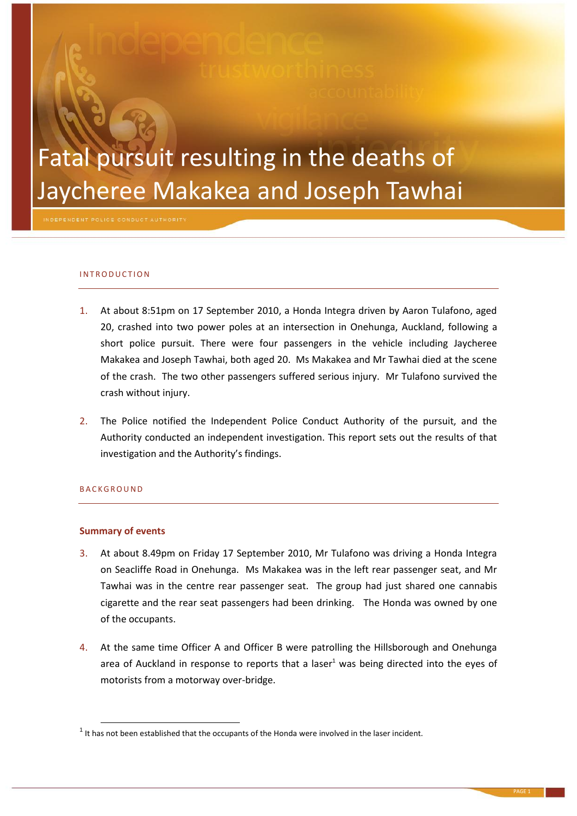# Fatal pursuit resulting in the deaths of Jaycheree Makakea and Joseph Tawhai

# I N T R O D U C T I O N

- 1. At about 8:51pm on 17 September 2010, a Honda Integra driven by Aaron Tulafono, aged 20, crashed into two power poles at an intersection in Onehunga, Auckland, following a short police pursuit. There were four passengers in the vehicle including Jaycheree Makakea and Joseph Tawhai, both aged 20. Ms Makakea and Mr Tawhai died at the scene of the crash. The two other passengers suffered serious injury. Mr Tulafono survived the crash without injury.
- 2. The Police notified the Independent Police Conduct Authority of the pursuit, and the Authority conducted an independent investigation. This report sets out the results of that investigation and the Authority's findings.

# **BACKGROUND**

**.** 

# **Summary of events**

- 3. At about 8.49pm on Friday 17 September 2010, Mr Tulafono was driving a Honda Integra on Seacliffe Road in Onehunga. Ms Makakea was in the left rear passenger seat, and Mr Tawhai was in the centre rear passenger seat. The group had just shared one cannabis cigarette and the rear seat passengers had been drinking. The Honda was owned by one of the occupants.
- 4. At the same time Officer A and Officer B were patrolling the Hillsborough and Onehunga area of Auckland in response to reports that a laser<sup>1</sup> was being directed into the eyes of motorists from a motorway over-bridge.

 $1$  It has not been established that the occupants of the Honda were involved in the laser incident.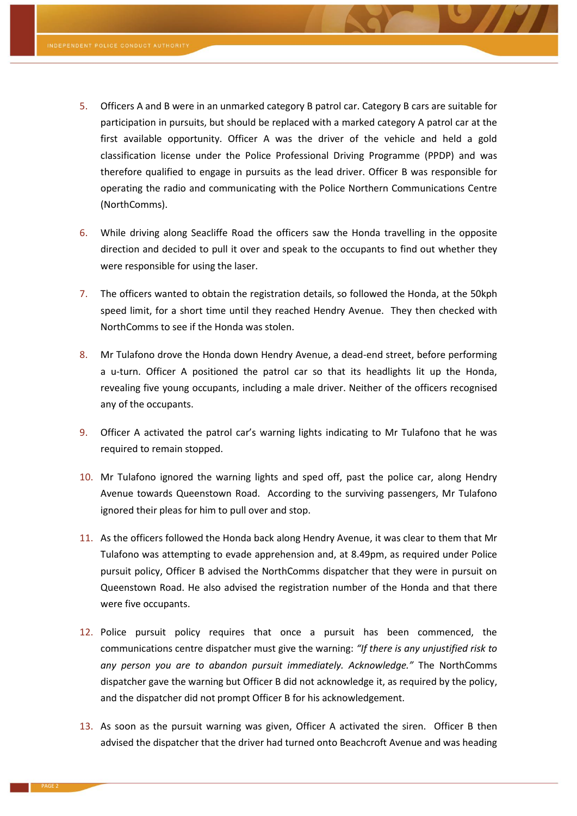- 5. Officers A and B were in an unmarked category B patrol car. Category B cars are suitable for participation in pursuits, but should be replaced with a marked category A patrol car at the first available opportunity. Officer A was the driver of the vehicle and held a gold classification license under the Police Professional Driving Programme (PPDP) and was therefore qualified to engage in pursuits as the lead driver. Officer B was responsible for operating the radio and communicating with the Police Northern Communications Centre (NorthComms).
- 6. While driving along Seacliffe Road the officers saw the Honda travelling in the opposite direction and decided to pull it over and speak to the occupants to find out whether they were responsible for using the laser.
- 7. The officers wanted to obtain the registration details, so followed the Honda, at the 50kph speed limit, for a short time until they reached Hendry Avenue. They then checked with NorthComms to see if the Honda was stolen.
- 8. Mr Tulafono drove the Honda down Hendry Avenue, a dead-end street, before performing a u-turn. Officer A positioned the patrol car so that its headlights lit up the Honda, revealing five young occupants, including a male driver. Neither of the officers recognised any of the occupants.
- 9. Officer A activated the patrol car's warning lights indicating to Mr Tulafono that he was required to remain stopped.
- 10. Mr Tulafono ignored the warning lights and sped off, past the police car, along Hendry Avenue towards Queenstown Road. According to the surviving passengers, Mr Tulafono ignored their pleas for him to pull over and stop.
- 11. As the officers followed the Honda back along Hendry Avenue, it was clear to them that Mr Tulafono was attempting to evade apprehension and, at 8.49pm, as required under Police pursuit policy, Officer B advised the NorthComms dispatcher that they were in pursuit on Queenstown Road. He also advised the registration number of the Honda and that there were five occupants.
- <span id="page-1-0"></span>12. Police pursuit policy requires that once a pursuit has been commenced, the communications centre dispatcher must give the warning: *"If there is any unjustified risk to any person you are to abandon pursuit immediately. Acknowledge."* The NorthComms dispatcher gave the warning but Officer B did not acknowledge it, as required by the policy, and the dispatcher did not prompt Officer B for his acknowledgement.
- 13. As soon as the pursuit warning was given, Officer A activated the siren. Officer B then advised the dispatcher that the driver had turned onto Beachcroft Avenue and was heading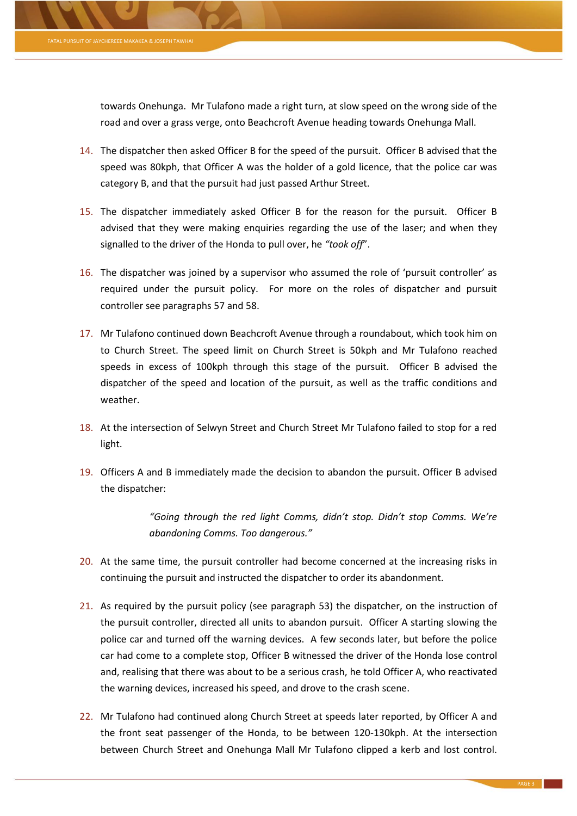towards Onehunga. Mr Tulafono made a right turn, at slow speed on the wrong side of the road and over a grass verge, onto Beachcroft Avenue heading towards Onehunga Mall.

- 14. The dispatcher then asked Officer B for the speed of the pursuit. Officer B advised that the speed was 80kph, that Officer A was the holder of a gold licence, that the police car was category B, and that the pursuit had just passed Arthur Street.
- 15. The dispatcher immediately asked Officer B for the reason for the pursuit. Officer B advised that they were making enquiries regarding the use of the laser; and when they signalled to the driver of the Honda to pull over, he *"took off*".
- 16. The dispatcher was joined by a supervisor who assumed the role of 'pursuit controller' as required under the pursuit policy. For more on the roles of dispatcher and pursuit controller see paragraph[s 57](#page-8-0) an[d 58.](#page-8-1)
- <span id="page-2-1"></span>17. Mr Tulafono continued down Beachcroft Avenue through a roundabout, which took him on to Church Street. The speed limit on Church Street is 50kph and Mr Tulafono reached speeds in excess of 100kph through this stage of the pursuit. Officer B advised the dispatcher of the speed and location of the pursuit, as well as the traffic conditions and weather.
- 18. At the intersection of Selwyn Street and Church Street Mr Tulafono failed to stop for a red light.
- <span id="page-2-2"></span>19. Officers A and B immediately made the decision to abandon the pursuit. Officer B advised the dispatcher:

*"Going through the red light Comms, didn't stop. Didn't stop Comms. We're abandoning Comms. Too dangerous."*

- <span id="page-2-4"></span>20. At the same time, the pursuit controller had become concerned at the increasing risks in continuing the pursuit and instructed the dispatcher to order its abandonment.
- <span id="page-2-3"></span>21. As required by the pursuit policy (see paragraph [53\)](#page-7-0) the dispatcher, on the instruction of the pursuit controller, directed all units to abandon pursuit. Officer A starting slowing the police car and turned off the warning devices. A few seconds later, but before the police car had come to a complete stop, Officer B witnessed the driver of the Honda lose control and, realising that there was about to be a serious crash, he told Officer A, who reactivated the warning devices, increased his speed, and drove to the crash scene.
- <span id="page-2-0"></span>22. Mr Tulafono had continued along Church Street at speeds later reported, by Officer A and the front seat passenger of the Honda, to be between 120-130kph. At the intersection between Church Street and Onehunga Mall Mr Tulafono clipped a kerb and lost control.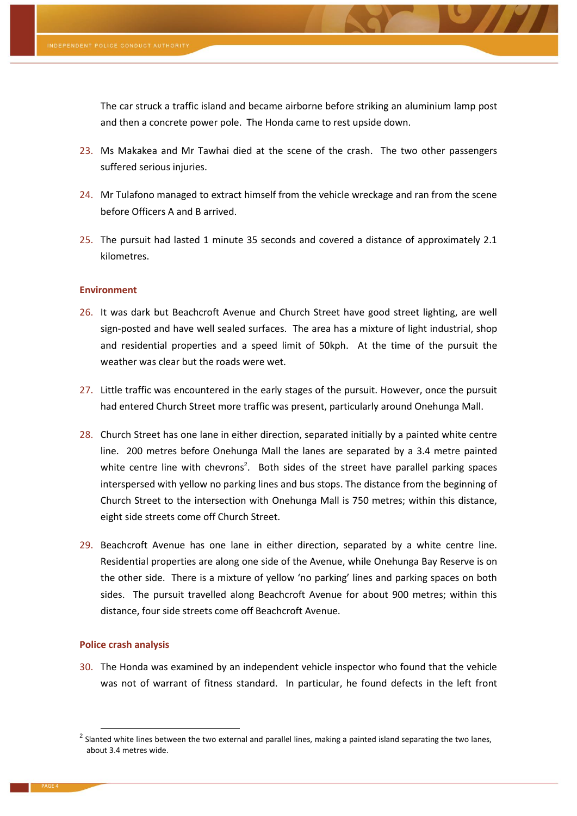The car struck a traffic island and became airborne before striking an aluminium lamp post and then a concrete power pole. The Honda came to rest upside down.

- 23. Ms Makakea and Mr Tawhai died at the scene of the crash. The two other passengers suffered serious injuries.
- 24. Mr Tulafono managed to extract himself from the vehicle wreckage and ran from the scene before Officers A and B arrived.
- 25. The pursuit had lasted 1 minute 35 seconds and covered a distance of approximately 2.1 kilometres.

#### **Environment**

- 26. It was dark but Beachcroft Avenue and Church Street have good street lighting, are well sign-posted and have well sealed surfaces. The area has a mixture of light industrial, shop and residential properties and a speed limit of 50kph. At the time of the pursuit the weather was clear but the roads were wet.
- 27. Little traffic was encountered in the early stages of the pursuit. However, once the pursuit had entered Church Street more traffic was present, particularly around Onehunga Mall.
- 28. Church Street has one lane in either direction, separated initially by a painted white centre line. 200 metres before Onehunga Mall the lanes are separated by a 3.4 metre painted white centre line with chevrons<sup>2</sup>. Both sides of the street have parallel parking spaces interspersed with yellow no parking lines and bus stops. The distance from the beginning of Church Street to the intersection with Onehunga Mall is 750 metres; within this distance, eight side streets come off Church Street.
- 29. Beachcroft Avenue has one lane in either direction, separated by a white centre line. Residential properties are along one side of the Avenue, while Onehunga Bay Reserve is on the other side. There is a mixture of yellow 'no parking' lines and parking spaces on both sides. The pursuit travelled along Beachcroft Avenue for about 900 metres; within this distance, four side streets come off Beachcroft Avenue.

#### **Police crash analysis**

**.** 

30. The Honda was examined by an independent vehicle inspector who found that the vehicle was not of warrant of fitness standard. In particular, he found defects in the left front

 $^2$  Slanted white lines between the two external and parallel lines, making a painted island separating the two lanes, about 3.4 metres wide.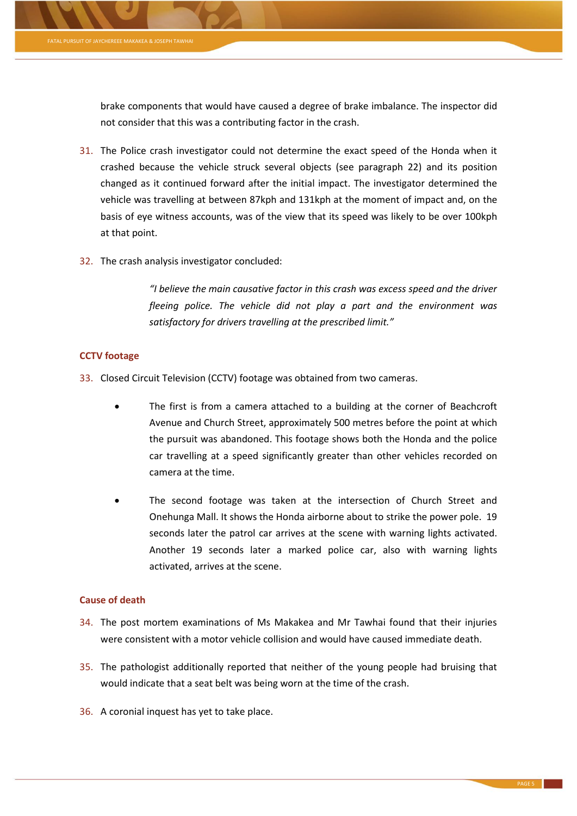brake components that would have caused a degree of brake imbalance. The inspector did not consider that this was a contributing factor in the crash.

- 31. The Police crash investigator could not determine the exact speed of the Honda when it crashed because the vehicle struck several objects (see paragraph [22\)](#page-2-0) and its position changed as it continued forward after the initial impact. The investigator determined the vehicle was travelling at between 87kph and 131kph at the moment of impact and, on the basis of eye witness accounts, was of the view that its speed was likely to be over 100kph at that point.
- 32. The crash analysis investigator concluded:

*"I believe the main causative factor in this crash was excess speed and the driver fleeing police. The vehicle did not play a part and the environment was satisfactory for drivers travelling at the prescribed limit."* 

# **CCTV footage**

- <span id="page-4-0"></span>33. Closed Circuit Television (CCTV) footage was obtained from two cameras.
	- The first is from a camera attached to a building at the corner of Beachcroft Avenue and Church Street, approximately 500 metres before the point at which the pursuit was abandoned. This footage shows both the Honda and the police car travelling at a speed significantly greater than other vehicles recorded on camera at the time.
	- The second footage was taken at the intersection of Church Street and Onehunga Mall. It shows the Honda airborne about to strike the power pole. 19 seconds later the patrol car arrives at the scene with warning lights activated. Another 19 seconds later a marked police car, also with warning lights activated, arrives at the scene.

# **Cause of death**

- 34. The post mortem examinations of Ms Makakea and Mr Tawhai found that their injuries were consistent with a motor vehicle collision and would have caused immediate death.
- 35. The pathologist additionally reported that neither of the young people had bruising that would indicate that a seat belt was being worn at the time of the crash.
- 36. A coronial inquest has yet to take place.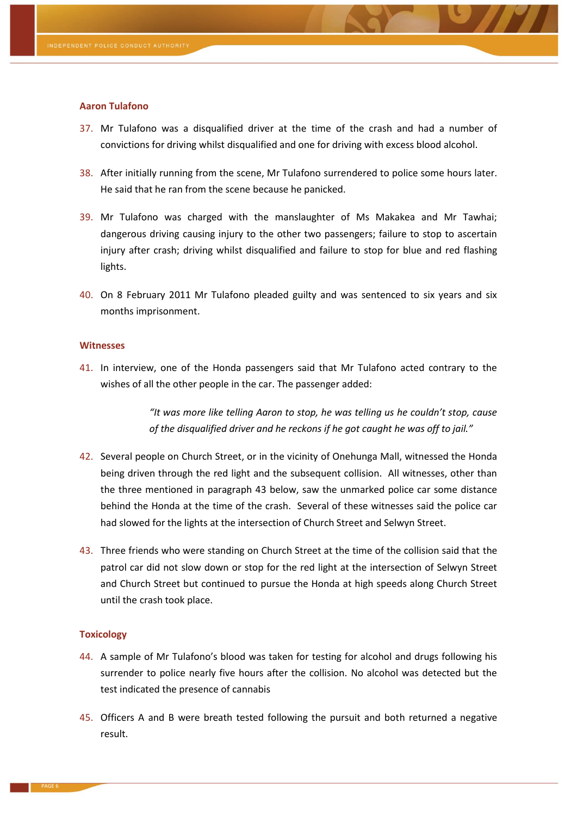#### **Aaron Tulafono**

- 37. Mr Tulafono was a disqualified driver at the time of the crash and had a number of convictions for driving whilst disqualified and one for driving with excess blood alcohol.
- 38. After initially running from the scene, Mr Tulafono surrendered to police some hours later. He said that he ran from the scene because he panicked.
- 39. Mr Tulafono was charged with the manslaughter of Ms Makakea and Mr Tawhai; dangerous driving causing injury to the other two passengers; failure to stop to ascertain injury after crash; driving whilst disqualified and failure to stop for blue and red flashing lights.
- 40. On 8 February 2011 Mr Tulafono pleaded guilty and was sentenced to six years and six months imprisonment.

# **Witnesses**

41. In interview, one of the Honda passengers said that Mr Tulafono acted contrary to the wishes of all the other people in the car. The passenger added:

> *"It was more like telling Aaron to stop, he was telling us he couldn't stop, cause of the disqualified driver and he reckons if he got caught he was off to jail."*

- <span id="page-5-1"></span>42. Several people on Church Street, or in the vicinity of Onehunga Mall, witnessed the Honda being driven through the red light and the subsequent collision. All witnesses, other than the three mentioned in paragraph [43](#page-5-0) below, saw the unmarked police car some distance behind the Honda at the time of the crash. Several of these witnesses said the police car had slowed for the lights at the intersection of Church Street and Selwyn Street.
- <span id="page-5-0"></span>43. Three friends who were standing on Church Street at the time of the collision said that the patrol car did not slow down or stop for the red light at the intersection of Selwyn Street and Church Street but continued to pursue the Honda at high speeds along Church Street until the crash took place.

# **Toxicology**

- 44. A sample of Mr Tulafono's blood was taken for testing for alcohol and drugs following his surrender to police nearly five hours after the collision. No alcohol was detected but the test indicated the presence of cannabis
- 45. Officers A and B were breath tested following the pursuit and both returned a negative result.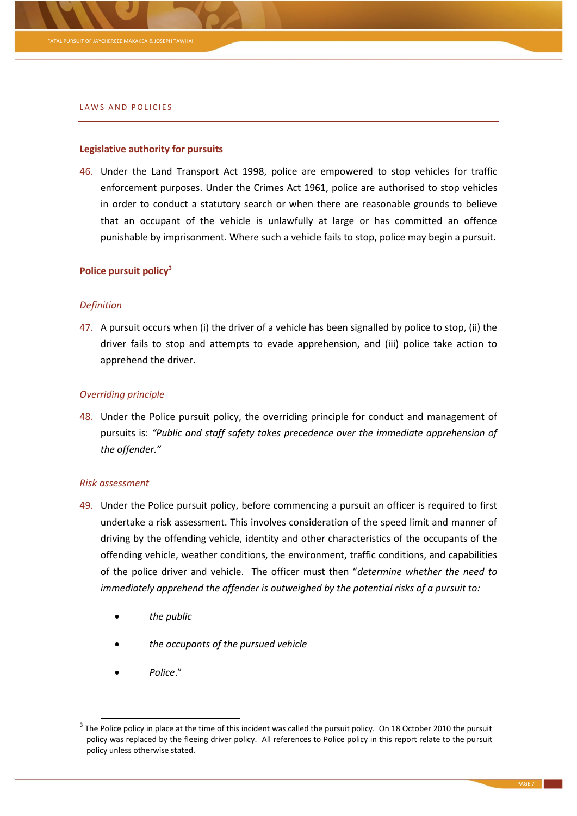#### LAWS AND POLICIES

# **Legislative authority for pursuits**

46. Under the Land Transport Act 1998, police are empowered to stop vehicles for traffic enforcement purposes. Under the Crimes Act 1961, police are authorised to stop vehicles in order to conduct a statutory search or when there are reasonable grounds to believe that an occupant of the vehicle is unlawfully at large or has committed an offence punishable by imprisonment. Where such a vehicle fails to stop, police may begin a pursuit.

#### **Police pursuit policy<sup>3</sup>**

#### *Definition*

47. A pursuit occurs when (i) the driver of a vehicle has been signalled by police to stop, (ii) the driver fails to stop and attempts to evade apprehension, and (iii) police take action to apprehend the driver.

#### *Overriding principle*

48. Under the Police pursuit policy, the overriding principle for conduct and management of pursuits is: *"Public and staff safety takes precedence over the immediate apprehension of the offender."*

#### *Risk assessment*

- 49. Under the Police pursuit policy, before commencing a pursuit an officer is required to first undertake a risk assessment. This involves consideration of the speed limit and manner of driving by the offending vehicle, identity and other characteristics of the occupants of the offending vehicle, weather conditions, the environment, traffic conditions, and capabilities of the police driver and vehicle. The officer must then "*determine whether the need to immediately apprehend the offender is outweighed by the potential risks of a pursuit to:*
	- *the public*
	- *the occupants of the pursued vehicle*
	- *Police*."

-

 $^3$  The Police policy in place at the time of this incident was called the pursuit policy. On 18 October 2010 the pursuit policy was replaced by the fleeing driver policy. All references to Police policy in this report relate to the pursuit policy unless otherwise stated.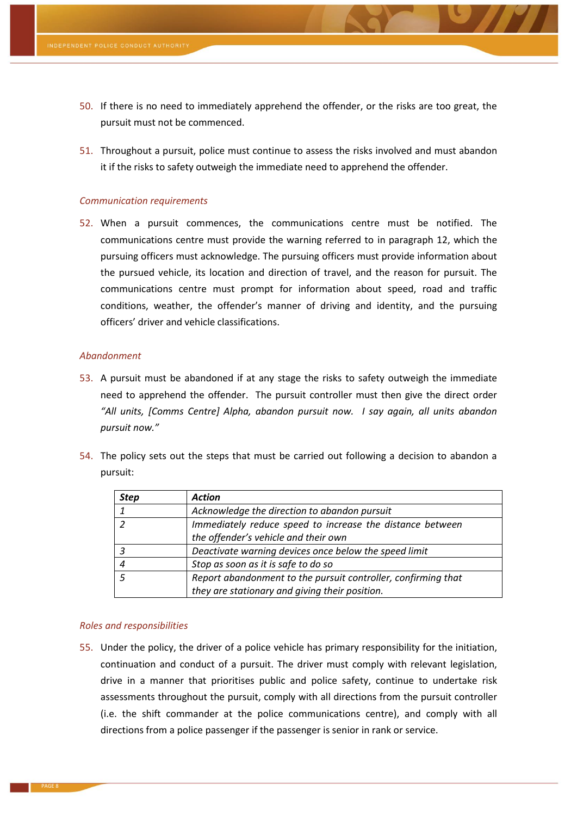- 50. If there is no need to immediately apprehend the offender, or the risks are too great, the pursuit must not be commenced.
- 51. Throughout a pursuit, police must continue to assess the risks involved and must abandon it if the risks to safety outweigh the immediate need to apprehend the offender.

#### *Communication requirements*

52. When a pursuit commences, the communications centre must be notified. The communications centre must provide the warning referred to in paragraph [12,](#page-1-0) which the pursuing officers must acknowledge. The pursuing officers must provide information about the pursued vehicle, its location and direction of travel, and the reason for pursuit. The communications centre must prompt for information about speed, road and traffic conditions, weather, the offender's manner of driving and identity, and the pursuing officers' driver and vehicle classifications.

#### *Abandonment*

- <span id="page-7-0"></span>53. A pursuit must be abandoned if at any stage the risks to safety outweigh the immediate need to apprehend the offender. The pursuit controller must then give the direct order *"All units, [Comms Centre] Alpha, abandon pursuit now. I say again, all units abandon pursuit now."*
- <span id="page-7-1"></span>54. The policy sets out the steps that must be carried out following a decision to abandon a pursuit:

| <b>Step</b> | <b>Action</b>                                                 |
|-------------|---------------------------------------------------------------|
|             | Acknowledge the direction to abandon pursuit                  |
|             | Immediately reduce speed to increase the distance between     |
|             | the offender's vehicle and their own                          |
|             | Deactivate warning devices once below the speed limit         |
|             | Stop as soon as it is safe to do so                           |
|             | Report abandonment to the pursuit controller, confirming that |
|             | they are stationary and giving their position.                |

#### *Roles and responsibilities*

55. Under the policy, the driver of a police vehicle has primary responsibility for the initiation, continuation and conduct of a pursuit. The driver must comply with relevant legislation, drive in a manner that prioritises public and police safety, continue to undertake risk assessments throughout the pursuit, comply with all directions from the pursuit controller (i.e. the shift commander at the police communications centre), and comply with all directions from a police passenger if the passenger is senior in rank or service.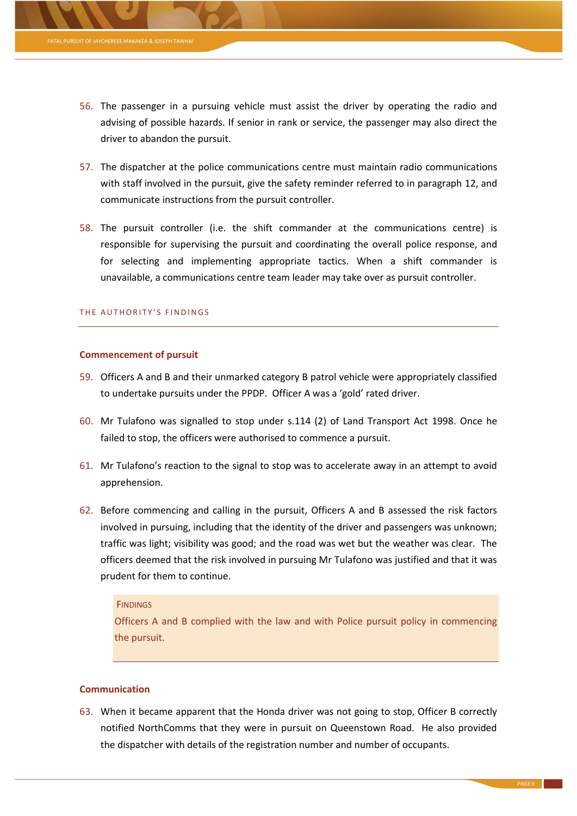- 56. The passenger in a pursuing vehicle must assist the driver by operating the radio and advising of possible hazards. If senior in rank or service, the passenger may also direct the driver to abandon the pursuit.
- <span id="page-8-0"></span>57. The dispatcher at the police communications centre must maintain radio communications with staff involved in the pursuit, give the safety reminder referred to in paragraph [12,](#page-1-0) and communicate instructions from the pursuit controller.
- <span id="page-8-1"></span>58. The pursuit controller (i.e. the shift commander at the communications centre) is responsible for supervising the pursuit and coordinating the overall police response, and for selecting and implementing appropriate tactics. When a shift commander is unavailable, a communications centre team leader may take over as pursuit controller.

# THE AUTHORITY'S FINDINGS

#### **Commencement of pursuit**

- 59. Officers A and B and their unmarked category B patrol vehicle were appropriately classified to undertake pursuits under the PPDP. Officer A was a 'gold' rated driver.
- 60. Mr Tulafono was signalled to stop under s.114 (2) of Land Transport Act 1998. Once he failed to stop, the officers were authorised to commence a pursuit.
- 61. Mr Tulafono's reaction to the signal to stop was to accelerate away in an attempt to avoid apprehension.
- 62. Before commencing and calling in the pursuit, Officers A and B assessed the risk factors involved in pursuing, including that the identity of the driver and passengers was unknown; traffic was light; visibility was good; and the road was wet but the weather was clear. The officers deemed that the risk involved in pursuing Mr Tulafono was justified and that it was prudent for them to continue.

#### **FINDINGS**

Officers A and B complied with the law and with Police pursuit policy in commencing the pursuit.

# **Communication**

63. When it became apparent that the Honda driver was not going to stop, Officer B correctly notified NorthComms that they were in pursuit on Queenstown Road. He also provided the dispatcher with details of the registration number and number of occupants.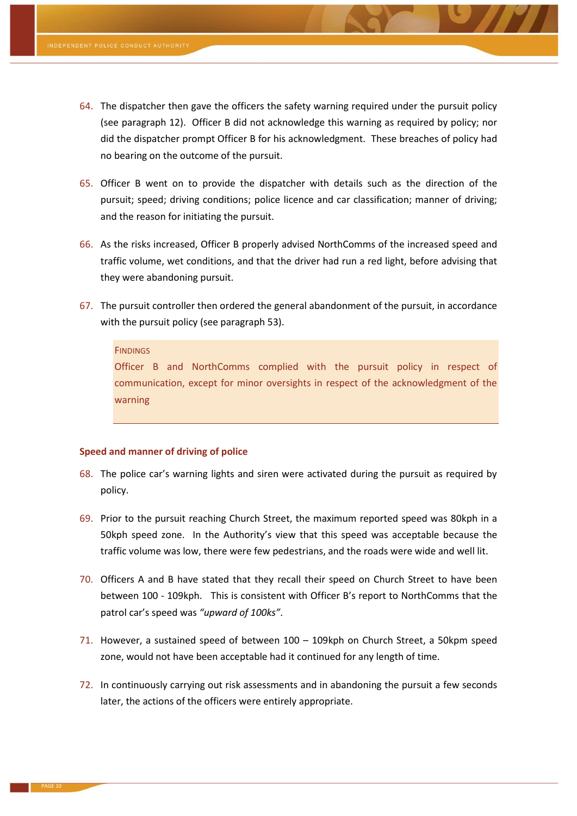- 64. The dispatcher then gave the officers the safety warning required under the pursuit policy (see paragraph [12\)](#page-1-0). Officer B did not acknowledge this warning as required by policy; nor did the dispatcher prompt Officer B for his acknowledgment. These breaches of policy had no bearing on the outcome of the pursuit.
- 65. Officer B went on to provide the dispatcher with details such as the direction of the pursuit; speed; driving conditions; police licence and car classification; manner of driving; and the reason for initiating the pursuit.
- 66. As the risks increased, Officer B properly advised NorthComms of the increased speed and traffic volume, wet conditions, and that the driver had run a red light, before advising that they were abandoning pursuit.
- 67. The pursuit controller then ordered the general abandonment of the pursuit, in accordance with the pursuit policy (see paragraph [53\)](#page-7-0).

#### **FINDINGS**

Officer B and NorthComms complied with the pursuit policy in respect of communication, except for minor oversights in respect of the acknowledgment of the warning

## **Speed and manner of driving of police**

- 68. The police car's warning lights and siren were activated during the pursuit as required by policy.
- 69. Prior to the pursuit reaching Church Street, the maximum reported speed was 80kph in a 50kph speed zone. In the Authority's view that this speed was acceptable because the traffic volume was low, there were few pedestrians, and the roads were wide and well lit.
- 70. Officers A and B have stated that they recall their speed on Church Street to have been between 100 - 109kph. This is consistent with Officer B's report to NorthComms that the patrol car's speed was *"upward of 100ks"*.
- 71. However, a sustained speed of between 100 109kph on Church Street, a 50kpm speed zone, would not have been acceptable had it continued for any length of time.
- 72. In continuously carrying out risk assessments and in abandoning the pursuit a few seconds later, the actions of the officers were entirely appropriate.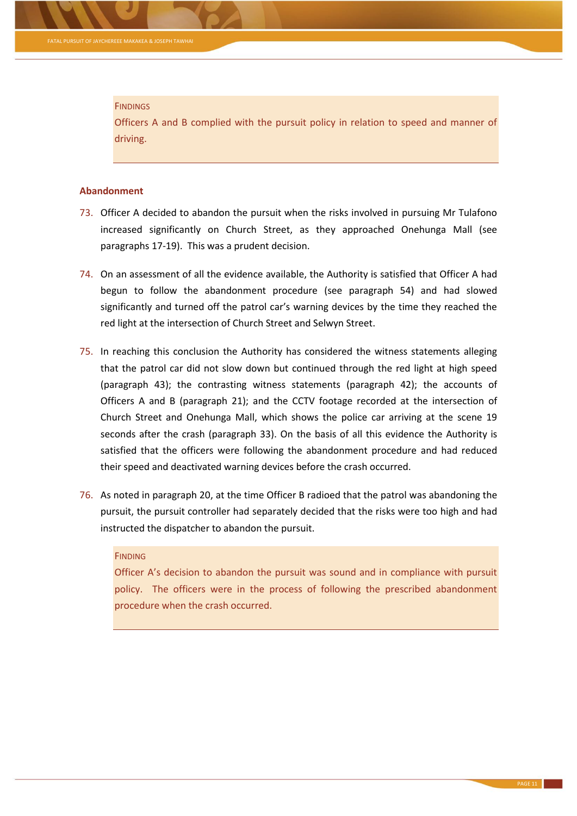#### **FINDINGS**

Officers A and B complied with the pursuit policy in relation to speed and manner of driving.

#### **Abandonment**

- 73. Officer A decided to abandon the pursuit when the risks involved in pursuing Mr Tulafono increased significantly on Church Street, as they approached Onehunga Mall (see paragraph[s 17](#page-2-1)[-19\)](#page-2-2). This was a prudent decision.
- 74. On an assessment of all the evidence available, the Authority is satisfied that Officer A had begun to follow the abandonment procedure (see paragraph [54\)](#page-7-1) and had slowed significantly and turned off the patrol car's warning devices by the time they reached the red light at the intersection of Church Street and Selwyn Street.
- 75. In reaching this conclusion the Authority has considered the witness statements alleging that the patrol car did not slow down but continued through the red light at high speed (paragraph [43\)](#page-5-0); the contrasting witness statements (paragraph [42\)](#page-5-1); the accounts of Officers A and B (paragraph [21\)](#page-2-3); and the CCTV footage recorded at the intersection of Church Street and Onehunga Mall, which shows the police car arriving at the scene 19 seconds after the crash (paragraph [33\)](#page-4-0). On the basis of all this evidence the Authority is satisfied that the officers were following the abandonment procedure and had reduced their speed and deactivated warning devices before the crash occurred.
- 76. As noted in paragraph [20,](#page-2-4) at the time Officer B radioed that the patrol was abandoning the pursuit, the pursuit controller had separately decided that the risks were too high and had instructed the dispatcher to abandon the pursuit.

# **FINDING**

Officer A's decision to abandon the pursuit was sound and in compliance with pursuit policy. The officers were in the process of following the prescribed abandonment procedure when the crash occurred.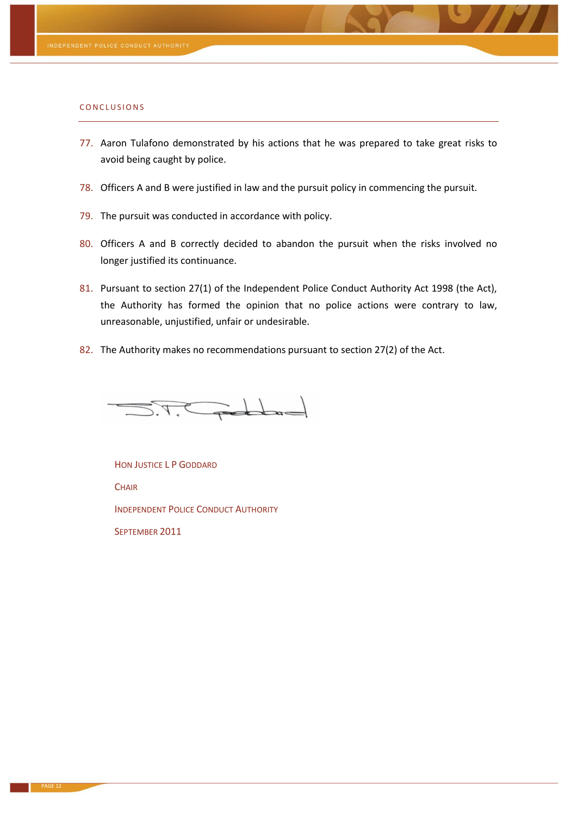#### CONCLUSIONS

- 77. Aaron Tulafono demonstrated by his actions that he was prepared to take great risks to avoid being caught by police.
- 78. Officers A and B were justified in law and the pursuit policy in commencing the pursuit.
- 79. The pursuit was conducted in accordance with policy.
- 80. Officers A and B correctly decided to abandon the pursuit when the risks involved no longer justified its continuance.
- 81. Pursuant to section 27(1) of the Independent Police Conduct Authority Act 1998 (the Act), the Authority has formed the opinion that no police actions were contrary to law, unreasonable, unjustified, unfair or undesirable.
- 82. The Authority makes no recommendations pursuant to section 27(2) of the Act.

 $\geq$  details  $\geq$ 

HON JUSTICE L P GODDARD **CHAIR** INDEPENDENT POLICE CONDUCT AUTHORITY SEPTEMBER 2011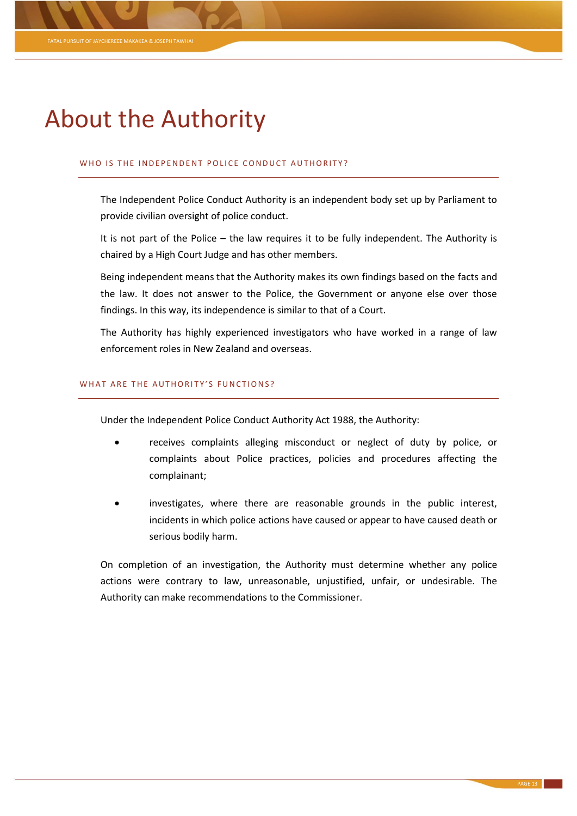# About the Authority

# WHO IS THE INDEPENDENT POLICE CONDUCT AUTHORITY?

The Independent Police Conduct Authority is an independent body set up by Parliament to provide civilian oversight of police conduct.

It is not part of the Police – the law requires it to be fully independent. The Authority is chaired by a High Court Judge and has other members.

Being independent means that the Authority makes its own findings based on the facts and the law. It does not answer to the Police, the Government or anyone else over those findings. In this way, its independence is similar to that of a Court.

The Authority has highly experienced investigators who have worked in a range of law enforcement roles in New Zealand and overseas.

#### WHAT ARE THE AUTHORITY'S FUNCTIONS?

Under the Independent Police Conduct Authority Act 1988, the Authority:

- receives complaints alleging misconduct or neglect of duty by police, or complaints about Police practices, policies and procedures affecting the complainant;
- investigates, where there are reasonable grounds in the public interest, incidents in which police actions have caused or appear to have caused death or serious bodily harm.

On completion of an investigation, the Authority must determine whether any police actions were contrary to law, unreasonable, unjustified, unfair, or undesirable. The Authority can make recommendations to the Commissioner.